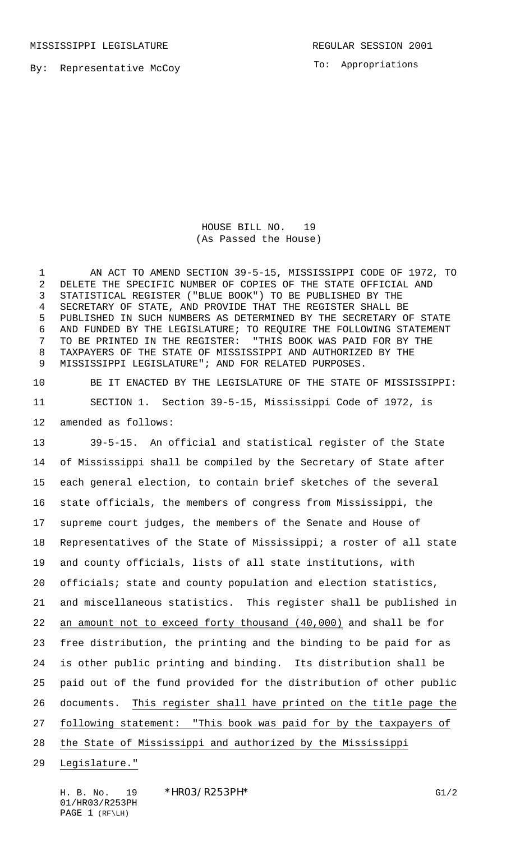MISSISSIPPI LEGISLATURE **REGULAR SESSION 2001** 

By: Representative McCoy

To: Appropriations

HOUSE BILL NO. 19 (As Passed the House)

 AN ACT TO AMEND SECTION 39-5-15, MISSISSIPPI CODE OF 1972, TO DELETE THE SPECIFIC NUMBER OF COPIES OF THE STATE OFFICIAL AND STATISTICAL REGISTER ("BLUE BOOK") TO BE PUBLISHED BY THE SECRETARY OF STATE, AND PROVIDE THAT THE REGISTER SHALL BE PUBLISHED IN SUCH NUMBERS AS DETERMINED BY THE SECRETARY OF STATE AND FUNDED BY THE LEGISLATURE; TO REQUIRE THE FOLLOWING STATEMENT TO BE PRINTED IN THE REGISTER: "THIS BOOK WAS PAID FOR BY THE TAXPAYERS OF THE STATE OF MISSISSIPPI AND AUTHORIZED BY THE MISSISSIPPI LEGISLATURE"; AND FOR RELATED PURPOSES.

 BE IT ENACTED BY THE LEGISLATURE OF THE STATE OF MISSISSIPPI: SECTION 1. Section 39-5-15, Mississippi Code of 1972, is amended as follows:

 39-5-15. An official and statistical register of the State of Mississippi shall be compiled by the Secretary of State after each general election, to contain brief sketches of the several state officials, the members of congress from Mississippi, the supreme court judges, the members of the Senate and House of Representatives of the State of Mississippi; a roster of all state and county officials, lists of all state institutions, with officials; state and county population and election statistics, and miscellaneous statistics. This register shall be published in 22 an amount not to exceed forty thousand (40,000) and shall be for free distribution, the printing and the binding to be paid for as is other public printing and binding. Its distribution shall be paid out of the fund provided for the distribution of other public documents. This register shall have printed on the title page the 27 following statement: "This book was paid for by the taxpayers of 28 the State of Mississippi and authorized by the Mississippi

Legislature."

H. B. No. 19 \*HR03/R253PH\* G1/2 01/HR03/R253PH PAGE 1 (RF\LH)